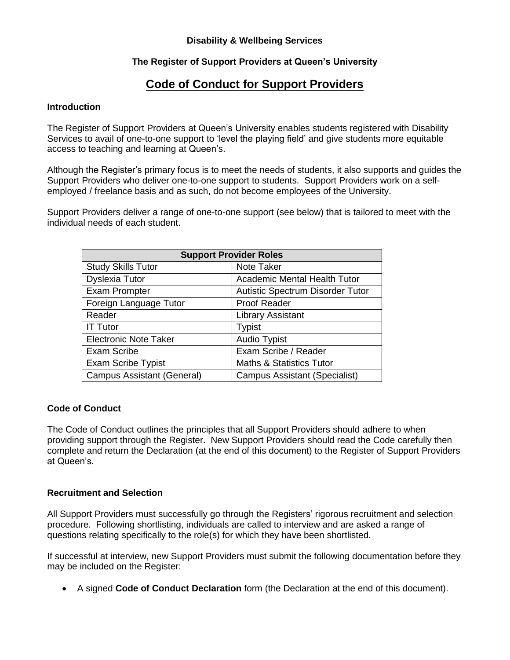# **Disability & Wellbeing Services**

# **The Register of Support Providers at Queen's University**

# **Code of Conduct for Support Providers**

#### **Introduction**

The Register of Support Providers at Queen's University enables students registered with Disability Services to avail of one-to-one support to 'level the playing field' and give students more equitable access to teaching and learning at Queen's.

Although the Register's primary focus is to meet the needs of students, it also supports and guides the Support Providers who deliver one-to-one support to students. Support Providers work on a selfemployed / freelance basis and as such, do not become employees of the University.

Support Providers deliver a range of one-to-one support (see below) that is tailored to meet with the individual needs of each student.

| <b>Support Provider Roles</b>     |                                         |
|-----------------------------------|-----------------------------------------|
| <b>Study Skills Tutor</b>         | Note Taker                              |
| <b>Dyslexia Tutor</b>             | <b>Academic Mental Health Tutor</b>     |
| <b>Exam Prompter</b>              | <b>Autistic Spectrum Disorder Tutor</b> |
| Foreign Language Tutor            | <b>Proof Reader</b>                     |
| Reader                            | <b>Library Assistant</b>                |
| <b>IT Tutor</b>                   | <b>Typist</b>                           |
| <b>Electronic Note Taker</b>      | Audio Typist                            |
| Exam Scribe                       | Exam Scribe / Reader                    |
| <b>Exam Scribe Typist</b>         | <b>Maths &amp; Statistics Tutor</b>     |
| <b>Campus Assistant (General)</b> | Campus Assistant (Specialist)           |

#### **Code of Conduct**

The Code of Conduct outlines the principles that all Support Providers should adhere to when providing support through the Register. New Support Providers should read the Code carefully then complete and return the Declaration (at the end of this document) to the Register of Support Providers at Queen's.

#### **Recruitment and Selection**

All Support Providers must successfully go through the Registers' rigorous recruitment and selection procedure. Following shortlisting, individuals are called to interview and are asked a range of questions relating specifically to the role(s) for which they have been shortlisted.

If successful at interview, new Support Providers must submit the following documentation before they may be included on the Register:

A signed **Code of Conduct Declaration** form (the Declaration at the end of this document).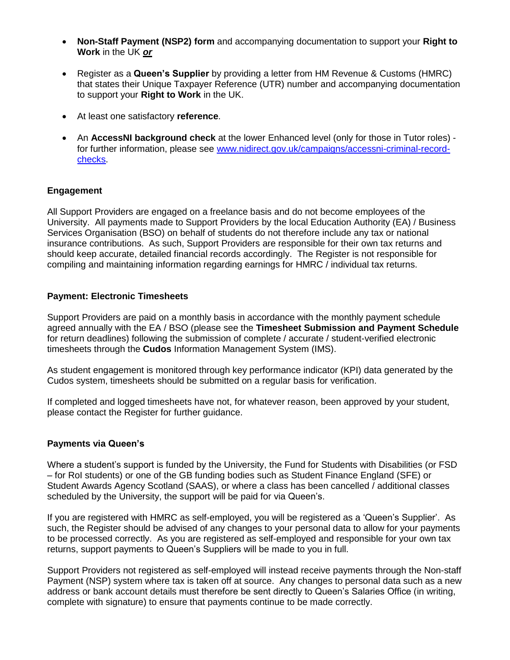- **Non-Staff Payment (NSP2) form** and accompanying documentation to support your **Right to Work** in the UK *or*
- Register as a **Queen's Supplier** by providing a letter from HM Revenue & Customs (HMRC) that states their Unique Taxpayer Reference (UTR) number and accompanying documentation to support your **Right to Work** in the UK.
- At least one satisfactory **reference**.
- An **AccessNI background check** at the lower Enhanced level (only for those in Tutor roles) for further information, please see [www.nidirect.gov.uk/campaigns/accessni-criminal-record](http://www.nidirect.gov.uk/campaigns/accessni-criminal-record-checks)[checks.](http://www.nidirect.gov.uk/campaigns/accessni-criminal-record-checks)

# **Engagement**

All Support Providers are engaged on a freelance basis and do not become employees of the University. All payments made to Support Providers by the local Education Authority (EA) / Business Services Organisation (BSO) on behalf of students do not therefore include any tax or national insurance contributions. As such, Support Providers are responsible for their own tax returns and should keep accurate, detailed financial records accordingly. The Register is not responsible for compiling and maintaining information regarding earnings for HMRC / individual tax returns.

# **Payment: Electronic Timesheets**

Support Providers are paid on a monthly basis in accordance with the monthly payment schedule agreed annually with the EA / BSO (please see the **Timesheet Submission and Payment Schedule** for return deadlines) following the submission of complete / accurate / student-verified electronic timesheets through the **Cudos** Information Management System (IMS).

As student engagement is monitored through key performance indicator (KPI) data generated by the Cudos system, timesheets should be submitted on a regular basis for verification.

If completed and logged timesheets have not, for whatever reason, been approved by your student, please contact the Register for further guidance.

# **Payments via Queen's**

Where a student's support is funded by the University, the Fund for Students with Disabilities (or FSD – for RoI students) or one of the GB funding bodies such as Student Finance England (SFE) or Student Awards Agency Scotland (SAAS), or where a class has been cancelled / additional classes scheduled by the University, the support will be paid for via Queen's.

If you are registered with HMRC as self-employed, you will be registered as a 'Queen's Supplier'. As such, the Register should be advised of any changes to your personal data to allow for your payments to be processed correctly. As you are registered as self-employed and responsible for your own tax returns, support payments to Queen's Suppliers will be made to you in full.

Support Providers not registered as self-employed will instead receive payments through the Non-staff Payment (NSP) system where tax is taken off at source. Any changes to personal data such as a new address or bank account details must therefore be sent directly to Queen's Salaries Office (in writing, complete with signature) to ensure that payments continue to be made correctly.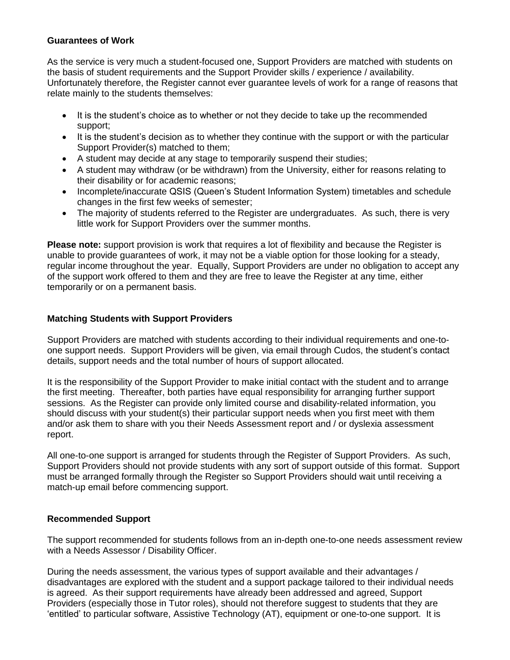### **Guarantees of Work**

As the service is very much a student-focused one, Support Providers are matched with students on the basis of student requirements and the Support Provider skills / experience / availability. Unfortunately therefore, the Register cannot ever guarantee levels of work for a range of reasons that relate mainly to the students themselves:

- It is the student's choice as to whether or not they decide to take up the recommended support;
- It is the student's decision as to whether they continue with the support or with the particular Support Provider(s) matched to them;
- A student may decide at any stage to temporarily suspend their studies;
- A student may withdraw (or be withdrawn) from the University, either for reasons relating to their disability or for academic reasons;
- Incomplete/inaccurate QSIS (Queen's Student Information System) timetables and schedule changes in the first few weeks of semester;
- The majority of students referred to the Register are undergraduates. As such, there is very little work for Support Providers over the summer months.

**Please note:** support provision is work that requires a lot of flexibility and because the Register is unable to provide guarantees of work, it may not be a viable option for those looking for a steady, regular income throughout the year. Equally, Support Providers are under no obligation to accept any of the support work offered to them and they are free to leave the Register at any time, either temporarily or on a permanent basis.

# **Matching Students with Support Providers**

Support Providers are matched with students according to their individual requirements and one-toone support needs. Support Providers will be given, via email through Cudos, the student's contact details, support needs and the total number of hours of support allocated.

It is the responsibility of the Support Provider to make initial contact with the student and to arrange the first meeting. Thereafter, both parties have equal responsibility for arranging further support sessions. As the Register can provide only limited course and disability-related information, you should discuss with your student(s) their particular support needs when you first meet with them and/or ask them to share with you their Needs Assessment report and / or dyslexia assessment report.

All one-to-one support is arranged for students through the Register of Support Providers. As such, Support Providers should not provide students with any sort of support outside of this format. Support must be arranged formally through the Register so Support Providers should wait until receiving a match-up email before commencing support.

# **Recommended Support**

The support recommended for students follows from an in-depth one-to-one needs assessment review with a Needs Assessor / Disability Officer.

During the needs assessment, the various types of support available and their advantages / disadvantages are explored with the student and a support package tailored to their individual needs is agreed. As their support requirements have already been addressed and agreed, Support Providers (especially those in Tutor roles), should not therefore suggest to students that they are 'entitled' to particular software, Assistive Technology (AT), equipment or one-to-one support. It is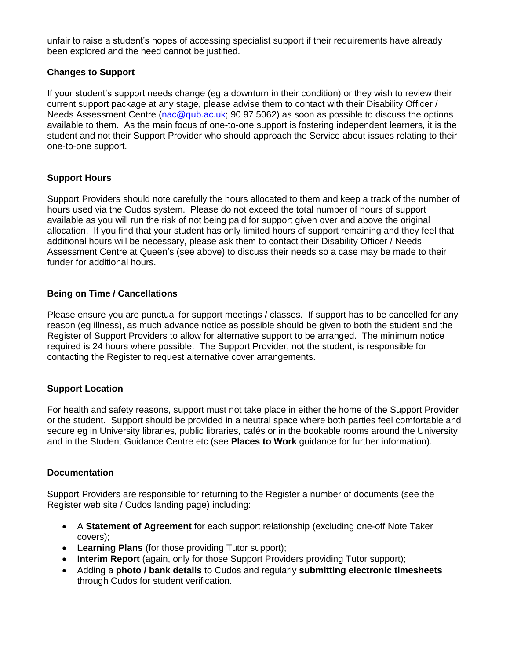unfair to raise a student's hopes of accessing specialist support if their requirements have already been explored and the need cannot be justified.

# **Changes to Support**

If your student's support needs change (eg a downturn in their condition) or they wish to review their current support package at any stage, please advise them to contact with their Disability Officer / Needs Assessment Centre [\(nac@qub.ac.uk;](mailto:nac@qub.ac.uk) 90 97 5062) as soon as possible to discuss the options available to them. As the main focus of one-to-one support is fostering independent learners, it is the student and not their Support Provider who should approach the Service about issues relating to their one-to-one support.

# **Support Hours**

Support Providers should note carefully the hours allocated to them and keep a track of the number of hours used via the Cudos system. Please do not exceed the total number of hours of support available as you will run the risk of not being paid for support given over and above the original allocation. If you find that your student has only limited hours of support remaining and they feel that additional hours will be necessary, please ask them to contact their Disability Officer / Needs Assessment Centre at Queen's (see above) to discuss their needs so a case may be made to their funder for additional hours.

# **Being on Time / Cancellations**

Please ensure you are punctual for support meetings / classes. If support has to be cancelled for any reason (eg illness), as much advance notice as possible should be given to both the student and the Register of Support Providers to allow for alternative support to be arranged. The minimum notice required is 24 hours where possible. The Support Provider, not the student, is responsible for contacting the Register to request alternative cover arrangements.

# **Support Location**

For health and safety reasons, support must not take place in either the home of the Support Provider or the student. Support should be provided in a neutral space where both parties feel comfortable and secure eg in University libraries, public libraries, cafés or in the bookable rooms around the University and in the Student Guidance Centre etc (see **Places to Work** guidance for further information).

# **Documentation**

Support Providers are responsible for returning to the Register a number of documents (see the Register web site / Cudos landing page) including:

- A **Statement of Agreement** for each support relationship (excluding one-off Note Taker covers);
- **Learning Plans** (for those providing Tutor support);
- **Interim Report** (again, only for those Support Providers providing Tutor support);
- Adding a **photo / bank details** to Cudos and regularly **submitting electronic timesheets** through Cudos for student verification.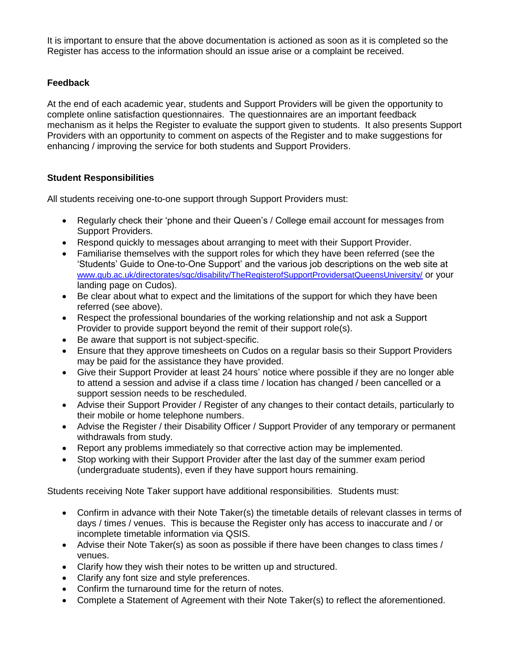It is important to ensure that the above documentation is actioned as soon as it is completed so the Register has access to the information should an issue arise or a complaint be received.

# **Feedback**

At the end of each academic year, students and Support Providers will be given the opportunity to complete online satisfaction questionnaires. The questionnaires are an important feedback mechanism as it helps the Register to evaluate the support given to students. It also presents Support Providers with an opportunity to comment on aspects of the Register and to make suggestions for enhancing / improving the service for both students and Support Providers.

# **Student Responsibilities**

All students receiving one-to-one support through Support Providers must:

- Regularly check their 'phone and their Queen's / College email account for messages from Support Providers.
- Respond quickly to messages about arranging to meet with their Support Provider.
- Familiarise themselves with the support roles for which they have been referred (see the 'Students' Guide to One-to-One Support' and the various job descriptions on the web site at [www.qub.ac.uk/directorates/sgc/disability/TheRegisterofSupportProvidersatQueensUniversity/](http://www.qub.ac.uk/directorates/sgc/disability/TheRegisterofSupportProvidersatQueensUniversity/) or your landing page on Cudos).
- Be clear about what to expect and the limitations of the support for which they have been referred (see above).
- Respect the professional boundaries of the working relationship and not ask a Support Provider to provide support beyond the remit of their support role(s).
- Be aware that support is not subject-specific.
- Ensure that they approve timesheets on Cudos on a regular basis so their Support Providers may be paid for the assistance they have provided.
- Give their Support Provider at least 24 hours' notice where possible if they are no longer able to attend a session and advise if a class time / location has changed / been cancelled or a support session needs to be rescheduled.
- Advise their Support Provider / Register of any changes to their contact details, particularly to their mobile or home telephone numbers.
- Advise the Register / their Disability Officer / Support Provider of any temporary or permanent withdrawals from study.
- Report any problems immediately so that corrective action may be implemented.
- Stop working with their Support Provider after the last day of the summer exam period (undergraduate students), even if they have support hours remaining.

Students receiving Note Taker support have additional responsibilities. Students must:

- Confirm in advance with their Note Taker(s) the timetable details of relevant classes in terms of days / times / venues. This is because the Register only has access to inaccurate and / or incomplete timetable information via QSIS.
- Advise their Note Taker(s) as soon as possible if there have been changes to class times / venues.
- Clarify how they wish their notes to be written up and structured.
- Clarify any font size and style preferences.
- Confirm the turnaround time for the return of notes.
- Complete a Statement of Agreement with their Note Taker(s) to reflect the aforementioned.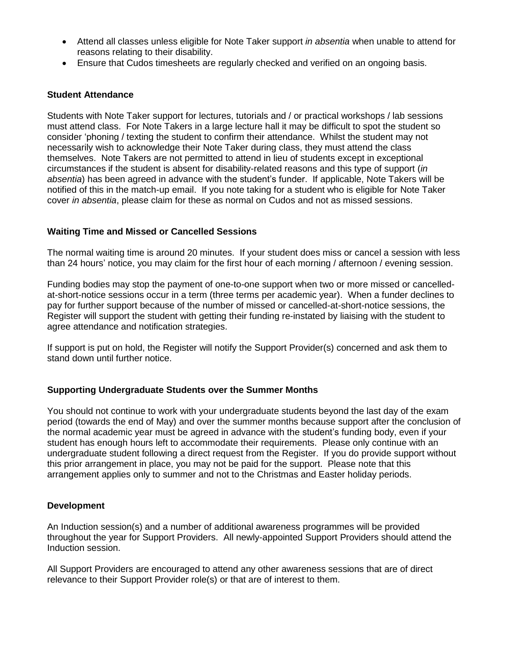- Attend all classes unless eligible for Note Taker support *in absentia* when unable to attend for reasons relating to their disability.
- Ensure that Cudos timesheets are regularly checked and verified on an ongoing basis.

#### **Student Attendance**

Students with Note Taker support for lectures, tutorials and / or practical workshops / lab sessions must attend class. For Note Takers in a large lecture hall it may be difficult to spot the student so consider 'phoning / texting the student to confirm their attendance. Whilst the student may not necessarily wish to acknowledge their Note Taker during class, they must attend the class themselves. Note Takers are not permitted to attend in lieu of students except in exceptional circumstances if the student is absent for disability-related reasons and this type of support (*in absentia*) has been agreed in advance with the student's funder. If applicable, Note Takers will be notified of this in the match-up email. If you note taking for a student who is eligible for Note Taker cover *in absentia*, please claim for these as normal on Cudos and not as missed sessions.

#### **Waiting Time and Missed or Cancelled Sessions**

The normal waiting time is around 20 minutes. If your student does miss or cancel a session with less than 24 hours' notice, you may claim for the first hour of each morning / afternoon / evening session.

Funding bodies may stop the payment of one-to-one support when two or more missed or cancelledat-short-notice sessions occur in a term (three terms per academic year). When a funder declines to pay for further support because of the number of missed or cancelled-at-short-notice sessions, the Register will support the student with getting their funding re-instated by liaising with the student to agree attendance and notification strategies.

If support is put on hold, the Register will notify the Support Provider(s) concerned and ask them to stand down until further notice.

#### **Supporting Undergraduate Students over the Summer Months**

You should not continue to work with your undergraduate students beyond the last day of the exam period (towards the end of May) and over the summer months because support after the conclusion of the normal academic year must be agreed in advance with the student's funding body, even if your student has enough hours left to accommodate their requirements. Please only continue with an undergraduate student following a direct request from the Register. If you do provide support without this prior arrangement in place, you may not be paid for the support. Please note that this arrangement applies only to summer and not to the Christmas and Easter holiday periods.

#### **Development**

An Induction session(s) and a number of additional awareness programmes will be provided throughout the year for Support Providers. All newly-appointed Support Providers should attend the Induction session.

All Support Providers are encouraged to attend any other awareness sessions that are of direct relevance to their Support Provider role(s) or that are of interest to them.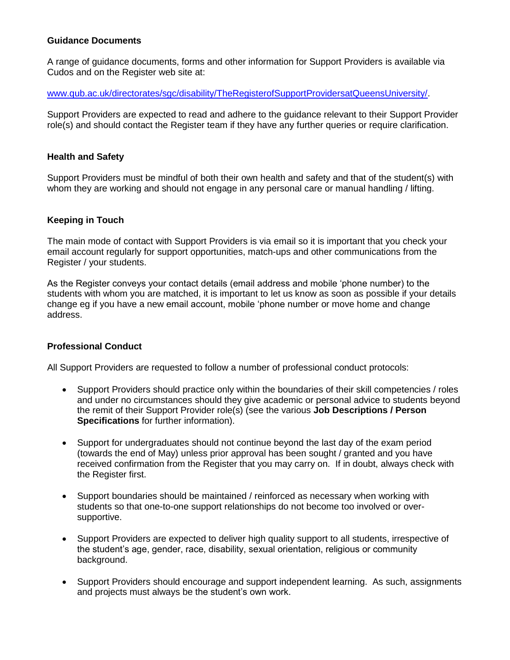# **Guidance Documents**

A range of guidance documents, forms and other information for Support Providers is available via Cudos and on the Register web site at:

[www.qub.ac.uk/directorates/sgc/disability/TheRegisterofSupportProvidersatQueensUniversity/.](http://www.qub.ac.uk/directorates/sgc/disability/TheRegisterofSupportProvidersatQueensUniversity/)

Support Providers are expected to read and adhere to the guidance relevant to their Support Provider role(s) and should contact the Register team if they have any further queries or require clarification.

### **Health and Safety**

Support Providers must be mindful of both their own health and safety and that of the student(s) with whom they are working and should not engage in any personal care or manual handling / lifting.

#### **Keeping in Touch**

The main mode of contact with Support Providers is via email so it is important that you check your email account regularly for support opportunities, match-ups and other communications from the Register / your students.

As the Register conveys your contact details (email address and mobile 'phone number) to the students with whom you are matched, it is important to let us know as soon as possible if your details change eg if you have a new email account, mobile 'phone number or move home and change address.

# **Professional Conduct**

All Support Providers are requested to follow a number of professional conduct protocols:

- Support Providers should practice only within the boundaries of their skill competencies / roles and under no circumstances should they give academic or personal advice to students beyond the remit of their Support Provider role(s) (see the various **Job Descriptions / Person Specifications** for further information).
- Support for undergraduates should not continue beyond the last day of the exam period (towards the end of May) unless prior approval has been sought / granted and you have received confirmation from the Register that you may carry on. If in doubt, always check with the Register first.
- Support boundaries should be maintained / reinforced as necessary when working with students so that one-to-one support relationships do not become too involved or oversupportive.
- Support Providers are expected to deliver high quality support to all students, irrespective of the student's age, gender, race, disability, sexual orientation, religious or community background.
- Support Providers should encourage and support independent learning. As such, assignments and projects must always be the student's own work.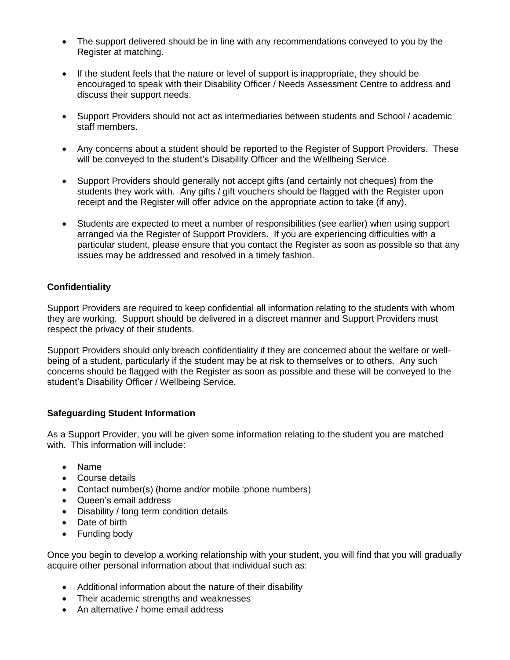- The support delivered should be in line with any recommendations conveyed to you by the Register at matching.
- If the student feels that the nature or level of support is inappropriate, they should be encouraged to speak with their Disability Officer / Needs Assessment Centre to address and discuss their support needs.
- Support Providers should not act as intermediaries between students and School / academic staff members.
- Any concerns about a student should be reported to the Register of Support Providers. These will be conveyed to the student's Disability Officer and the Wellbeing Service.
- Support Providers should generally not accept gifts (and certainly not cheques) from the students they work with. Any gifts / gift vouchers should be flagged with the Register upon receipt and the Register will offer advice on the appropriate action to take (if any).
- Students are expected to meet a number of responsibilities (see earlier) when using support arranged via the Register of Support Providers. If you are experiencing difficulties with a particular student, please ensure that you contact the Register as soon as possible so that any issues may be addressed and resolved in a timely fashion.

# **Confidentiality**

Support Providers are required to keep confidential all information relating to the students with whom they are working. Support should be delivered in a discreet manner and Support Providers must respect the privacy of their students.

Support Providers should only breach confidentiality if they are concerned about the welfare or wellbeing of a student, particularly if the student may be at risk to themselves or to others. Any such concerns should be flagged with the Register as soon as possible and these will be conveyed to the student's Disability Officer / Wellbeing Service.

# **Safeguarding Student Information**

As a Support Provider, you will be given some information relating to the student you are matched with. This information will include:

- Name
- Course details
- Contact number(s) (home and/or mobile 'phone numbers)
- Queen's email address
- Disability / long term condition details
- Date of birth
- Funding body

Once you begin to develop a working relationship with your student, you will find that you will gradually acquire other personal information about that individual such as:

- Additional information about the nature of their disability
- Their academic strengths and weaknesses
- An alternative / home email address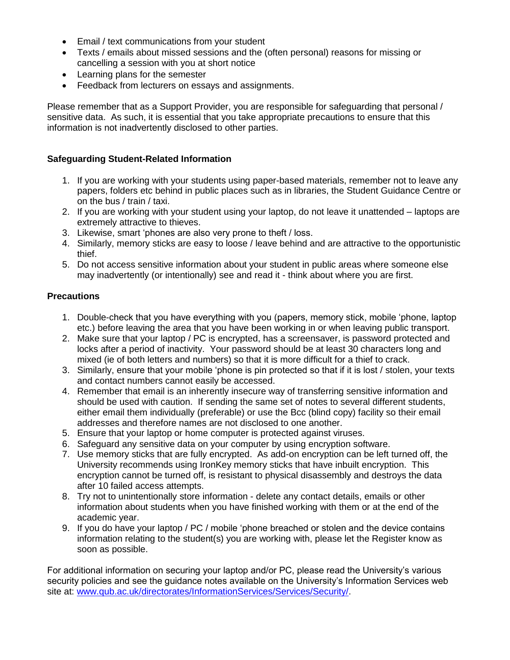- Email / text communications from your student
- Texts / emails about missed sessions and the (often personal) reasons for missing or cancelling a session with you at short notice
- Learning plans for the semester
- Feedback from lecturers on essays and assignments.

Please remember that as a Support Provider, you are responsible for safeguarding that personal / sensitive data. As such, it is essential that you take appropriate precautions to ensure that this information is not inadvertently disclosed to other parties.

# **Safeguarding Student-Related Information**

- 1. If you are working with your students using paper-based materials, remember not to leave any papers, folders etc behind in public places such as in libraries, the Student Guidance Centre or on the bus / train / taxi.
- 2. If you are working with your student using your laptop, do not leave it unattended laptops are extremely attractive to thieves.
- 3. Likewise, smart 'phones are also very prone to theft / loss.
- 4. Similarly, memory sticks are easy to loose / leave behind and are attractive to the opportunistic thief.
- 5. Do not access sensitive information about your student in public areas where someone else may inadvertently (or intentionally) see and read it - think about where you are first.

# **Precautions**

- 1. Double-check that you have everything with you (papers, memory stick, mobile 'phone, laptop etc.) before leaving the area that you have been working in or when leaving public transport.
- 2. Make sure that your laptop / PC is encrypted, has a screensaver, is password protected and locks after a period of inactivity. Your password should be at least 30 characters long and mixed (ie of both letters and numbers) so that it is more difficult for a thief to crack.
- 3. Similarly, ensure that your mobile 'phone is pin protected so that if it is lost / stolen, your texts and contact numbers cannot easily be accessed.
- 4. Remember that email is an inherently insecure way of transferring sensitive information and should be used with caution. If sending the same set of notes to several different students, either email them individually (preferable) or use the Bcc (blind copy) facility so their email addresses and therefore names are not disclosed to one another.
- 5. Ensure that your laptop or home computer is protected against viruses.
- 6. Safeguard any sensitive data on your computer by using encryption software.
- 7. Use memory sticks that are fully encrypted. As add-on encryption can be left turned off, the University recommends using IronKey memory sticks that have inbuilt encryption. This encryption cannot be turned off, is resistant to physical disassembly and destroys the data after 10 failed access attempts.
- 8. Try not to unintentionally store information delete any contact details, emails or other information about students when you have finished working with them or at the end of the academic year.
- 9. If you do have your laptop / PC / mobile 'phone breached or stolen and the device contains information relating to the student(s) you are working with, please let the Register know as soon as possible.

For additional information on securing your laptop and/or PC, please read the University's various security policies and see the guidance notes available on the University's Information Services web site at: [www.qub.ac.uk/directorates/InformationServices/Services/Security/.](http://www.qub.ac.uk/directorates/InformationServices/Services/Security/)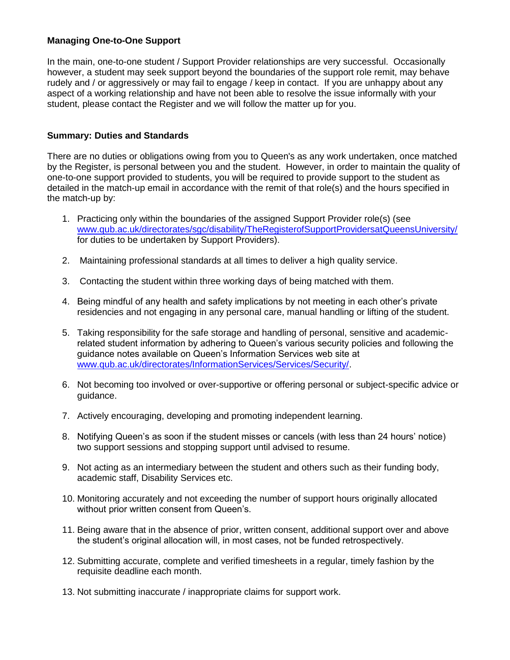# **Managing One-to-One Support**

In the main, one-to-one student / Support Provider relationships are very successful. Occasionally however, a student may seek support beyond the boundaries of the support role remit, may behave rudely and / or aggressively or may fail to engage / keep in contact. If you are unhappy about any aspect of a working relationship and have not been able to resolve the issue informally with your student, please contact the Register and we will follow the matter up for you.

# **Summary: Duties and Standards**

There are no duties or obligations owing from you to Queen's as any work undertaken, once matched by the Register, is personal between you and the student. However, in order to maintain the quality of one-to-one support provided to students, you will be required to provide support to the student as detailed in the match-up email in accordance with the remit of that role(s) and the hours specified in the match-up by:

- 1. Practicing only within the boundaries of the assigned Support Provider role(s) (see [www.qub.ac.uk/directorates/sgc/disability/TheRegisterofSupportProvidersatQueensUniversity/](http://www.qub.ac.uk/directorates/sgc/disability/TheRegisterofSupportProvidersatQueensUniversity/) for duties to be undertaken by Support Providers).
- 2. Maintaining professional standards at all times to deliver a high quality service.
- 3. Contacting the student within three working days of being matched with them.
- 4. Being mindful of any health and safety implications by not meeting in each other's private residencies and not engaging in any personal care, manual handling or lifting of the student.
- 5. Taking responsibility for the safe storage and handling of personal, sensitive and academicrelated student information by adhering to Queen's various security policies and following the guidance notes available on Queen's Information Services web site at [www.qub.ac.uk/directorates/InformationServices/Services/Security/.](http://www.qub.ac.uk/directorates/InformationServices/Services/Security/)
- 6. Not becoming too involved or over-supportive or offering personal or subject-specific advice or guidance.
- 7. Actively encouraging, developing and promoting independent learning.
- 8. Notifying Queen's as soon if the student misses or cancels (with less than 24 hours' notice) two support sessions and stopping support until advised to resume.
- 9. Not acting as an intermediary between the student and others such as their funding body, academic staff, Disability Services etc.
- 10. Monitoring accurately and not exceeding the number of support hours originally allocated without prior written consent from Queen's.
- 11. Being aware that in the absence of prior, written consent, additional support over and above the student's original allocation will, in most cases, not be funded retrospectively.
- 12. Submitting accurate, complete and verified timesheets in a regular, timely fashion by the requisite deadline each month.
- 13. Not submitting inaccurate / inappropriate claims for support work.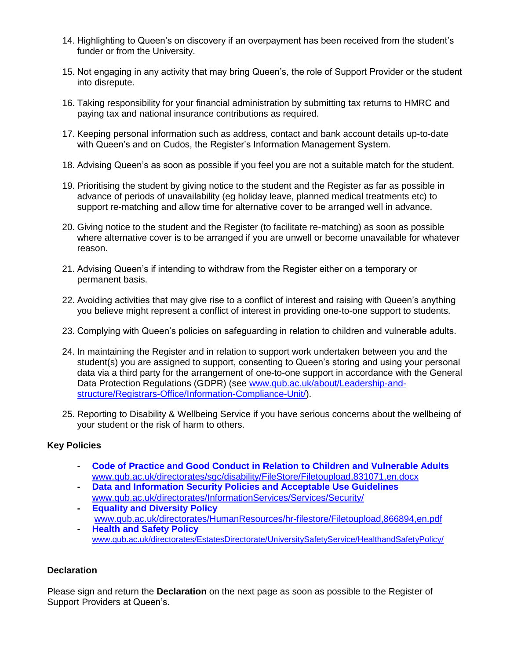- 14. Highlighting to Queen's on discovery if an overpayment has been received from the student's funder or from the University.
- 15. Not engaging in any activity that may bring Queen's, the role of Support Provider or the student into disrepute.
- 16. Taking responsibility for your financial administration by submitting tax returns to HMRC and paying tax and national insurance contributions as required.
- 17. Keeping personal information such as address, contact and bank account details up-to-date with Queen's and on Cudos, the Register's Information Management System.
- 18. Advising Queen's as soon as possible if you feel you are not a suitable match for the student.
- 19. Prioritising the student by giving notice to the student and the Register as far as possible in advance of periods of unavailability (eg holiday leave, planned medical treatments etc) to support re-matching and allow time for alternative cover to be arranged well in advance.
- 20. Giving notice to the student and the Register (to facilitate re-matching) as soon as possible where alternative cover is to be arranged if you are unwell or become unavailable for whatever reason.
- 21. Advising Queen's if intending to withdraw from the Register either on a temporary or permanent basis.
- 22. Avoiding activities that may give rise to a conflict of interest and raising with Queen's anything you believe might represent a conflict of interest in providing one-to-one support to students.
- 23. Complying with Queen's policies on safeguarding in relation to children and vulnerable adults.
- 24. In maintaining the Register and in relation to support work undertaken between you and the student(s) you are assigned to support, consenting to Queen's storing and using your personal data via a third party for the arrangement of one-to-one support in accordance with the General Data Protection Regulations (GDPR) (see [www.qub.ac.uk/about/Leadership-and](http://www.qub.ac.uk/about/Leadership-and-structure/Registrars-Office/Information-Compliance-Unit/)[structure/Registrars-Office/Information-Compliance-Unit/\)](http://www.qub.ac.uk/about/Leadership-and-structure/Registrars-Office/Information-Compliance-Unit/).
- 25. Reporting to Disability & Wellbeing Service if you have serious concerns about the wellbeing of your student or the risk of harm to others.

# **Key Policies**

- **- [Code of Practice and Good Conduct in Relation to Children and Vulnerable Adults](http://www.qub.ac.uk/schools/ssesw/Study/PostgraduateTaught/PGCE/filestore/Filetoupload,691474,en.doc)** [www.qub.ac.uk/directorates/sgc/disability/FileStore/Filetoupload,831071,en.docx](http://www.qub.ac.uk/directorates/sgc/disability/FileStore/Filetoupload,831071,en.docx)
- **- [Data and Information Security Policies and Acceptable Use Guidelines](http://www.qub.ac.uk/directorates/InformationServices/Services/Security/)** [www.qub.ac.uk/directorates/InformationServices/Services/Security/](http://www.qub.ac.uk/directorates/InformationServices/Services/Security/)
- **- [Equality and Diversity](http://www.qub.ac.uk/directorates/AcademicStudentAffairs/AcademicAffairs/GeneralRegulations/Policies/EqualityandDiversityPolicy/) Policy** [www.qub.ac.uk/directorates/HumanResources/hr-filestore/Filetoupload,866894,en.pdf](http://www.qub.ac.uk/directorates/HumanResources/hr-filestore/Filetoupload,866894,en.pdf) **- [Health and Safety Policy](http://www.qub.ac.uk/directorates/EstatesDirectorate/UniversitySafetyService/FileStore/WordDocuments/Filetoupload,767623,en.docx)**
- [www.qub.ac.uk/directorates/EstatesDirectorate/UniversitySafetyService/HealthandSafetyPolicy/](http://www.qub.ac.uk/directorates/EstatesDirectorate/UniversitySafetyService/HealthandSafetyPolicy/)

# **Declaration**

Please sign and return the **Declaration** on the next page as soon as possible to the Register of Support Providers at Queen's.